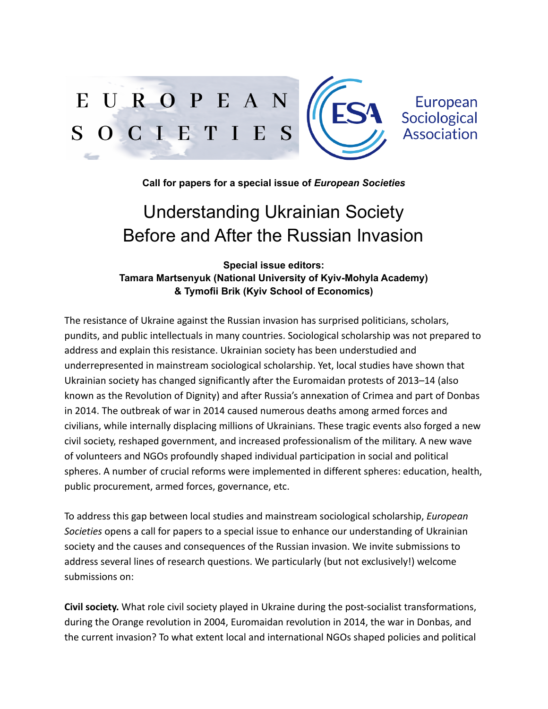

**Call for papers for a special issue of** *European Societies*

## Understanding Ukrainian Society Before and After the Russian Invasion

**Special issue editors: Tamara Martsenyuk (National University of Kyiv-Mohyla Academy) & Tymofii Brik (Kyiv School of Economics)**

The resistance of Ukraine against the Russian invasion has surprised politicians, scholars, pundits, and public intellectuals in many countries. Sociological scholarship was not prepared to address and explain this resistance. Ukrainian society has been understudied and underrepresented in mainstream sociological scholarship. Yet, local studies have shown that Ukrainian society has changed significantly after the Euromaidan protests of 2013–14 (also known as the Revolution of Dignity) and after Russia's annexation of Crimea and part of Donbas in 2014. The outbreak of war in 2014 caused numerous deaths among armed forces and civilians, while internally displacing millions of Ukrainians. These tragic events also forged a new civil society, reshaped government, and increased professionalism of the military. A new wave of volunteers and NGOs profoundly shaped individual participation in social and political spheres. A number of crucial reforms were implemented in different spheres: education, health, public procurement, armed forces, governance, etc.

To address this gap between local studies and mainstream sociological scholarship, *European Societies* opens a call for papers to a special issue to enhance our understanding of Ukrainian society and the causes and consequences of the Russian invasion. We invite submissions to address several lines of research questions. We particularly (but not exclusively!) welcome submissions on:

**Civil society.** What role civil society played in Ukraine during the post-socialist transformations, during the Orange revolution in 2004, Euromaidan revolution in 2014, the war in Donbas, and the current invasion? To what extent local and international NGOs shaped policies and political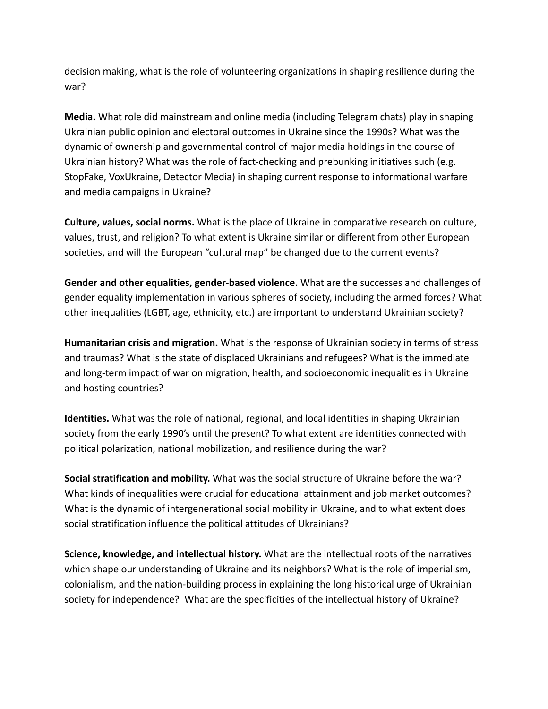decision making, what is the role of volunteering organizations in shaping resilience during the war?

**Media.** What role did mainstream and online media (including Telegram chats) play in shaping Ukrainian public opinion and electoral outcomes in Ukraine since the 1990s? What was the dynamic of ownership and governmental control of major media holdings in the course of Ukrainian history? What was the role of fact-checking and prebunking initiatives such (e.g. StopFake, VoxUkraine, Detector Media) in shaping current response to informational warfare and media campaigns in Ukraine?

**Culture, values, social norms.** What is the place of Ukraine in comparative research on culture, values, trust, and religion? To what extent is Ukraine similar or different from other European societies, and will the European "cultural map" be changed due to the current events?

**Gender and other equalities, gender-based violence.** What are the successes and challenges of gender equality implementation in various spheres of society, including the armed forces? What other inequalities (LGBT, age, ethnicity, etc.) are important to understand Ukrainian society?

**Humanitarian crisis and migration.** What is the response of Ukrainian society in terms of stress and traumas? What is the state of displaced Ukrainians and refugees? What is the immediate and long-term impact of war on migration, health, and socioeconomic inequalities in Ukraine and hosting countries?

**Identities.** What was the role of national, regional, and local identities in shaping Ukrainian society from the early 1990's until the present? To what extent are identities connected with political polarization, national mobilization, and resilience during the war?

**Social stratification and mobility.** What was the social structure of Ukraine before the war? What kinds of inequalities were crucial for educational attainment and job market outcomes? What is the dynamic of intergenerational social mobility in Ukraine, and to what extent does social stratification influence the political attitudes of Ukrainians?

**Science, knowledge, and intellectual history.** What are the intellectual roots of the narratives which shape our understanding of Ukraine and its neighbors? What is the role of imperialism, colonialism, and the nation-building process in explaining the long historical urge of Ukrainian society for independence? What are the specificities of the intellectual history of Ukraine?